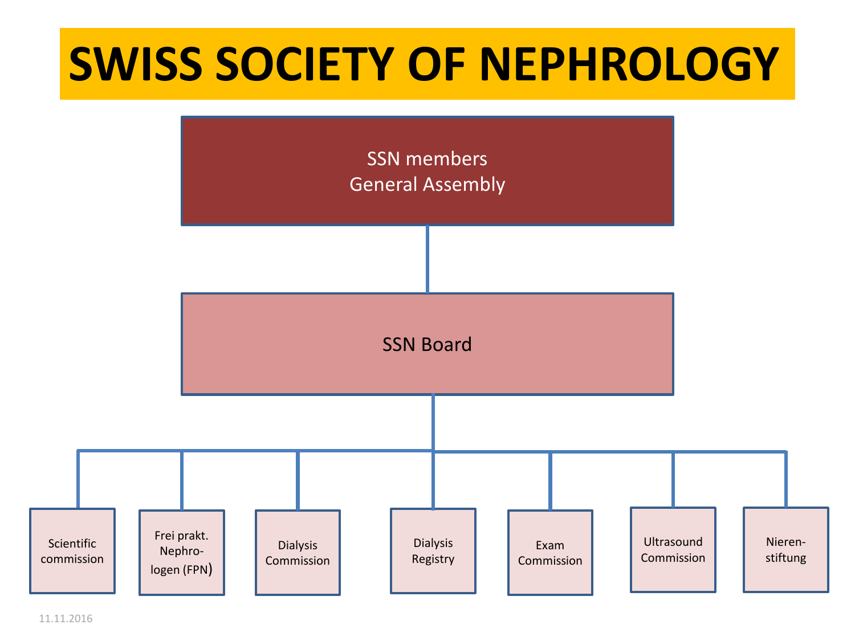## **SWISS SOCIETY OF NEPHROLOGY**



11.11.2016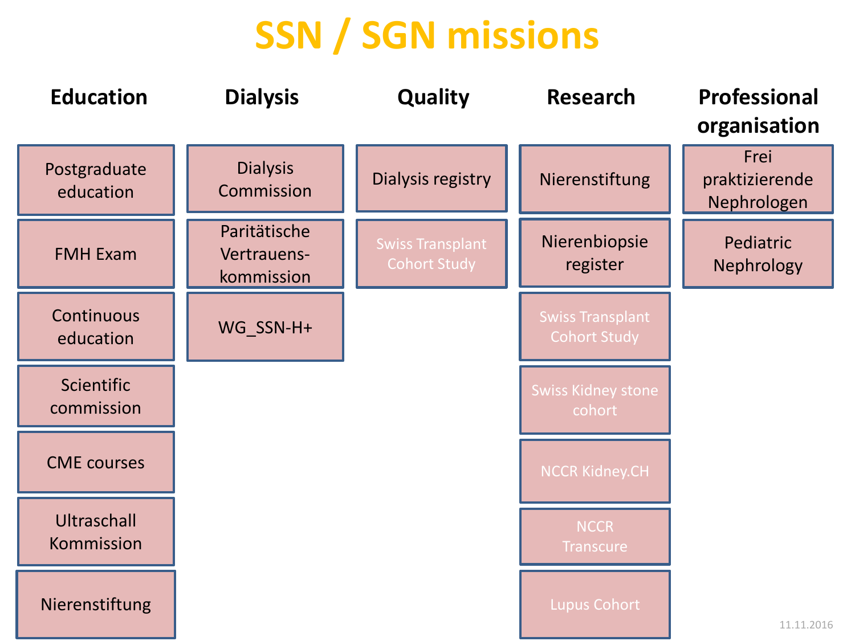## **SSN / SGN missions**

| <b>Education</b>                | <b>Dialysis</b>                           | <b>Quality</b>                                 | <b>Research</b>                                | <b>Professional</b><br>organisation   |
|---------------------------------|-------------------------------------------|------------------------------------------------|------------------------------------------------|---------------------------------------|
| Postgraduate<br>education       | <b>Dialysis</b><br>Commission             | Dialysis registry                              | Nierenstiftung                                 | Frei<br>praktizierende<br>Nephrologen |
| <b>FMH Exam</b>                 | Paritätische<br>Vertrauens-<br>kommission | <b>Swiss Transplant</b><br><b>Cohort Study</b> | Nierenbiopsie<br>register                      | Pediatric<br>Nephrology               |
| Continuous<br>education         | WG_SSN-H+                                 |                                                | <b>Swiss Transplant</b><br><b>Cohort Study</b> |                                       |
| <b>Scientific</b><br>commission |                                           |                                                | <b>Swiss Kidney stone</b><br>cohort            |                                       |
| <b>CME</b> courses              |                                           |                                                | <b>NCCR Kidney.CH</b>                          |                                       |
| Ultraschall<br>Kommission       |                                           |                                                | <b>NCCR</b><br><b>Transcure</b>                |                                       |
| Nierenstiftung                  |                                           |                                                | <b>Lupus Cohort</b>                            | 11.11.2016                            |